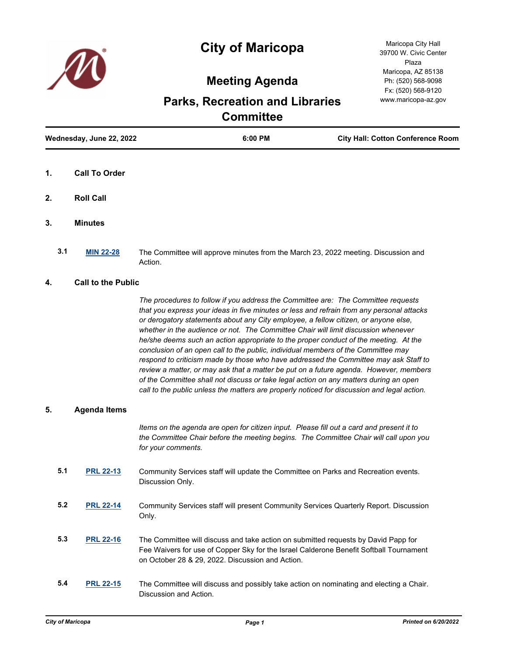



Maricopa City Hall 39700 W. Civic Center Plaza Maricopa, AZ 85138 Ph: (520) 568-9098 Fx: (520) 568-9120 www.maricopa-az.gov

## **Meeting Agenda**

# **Parks, Recreation and Libraries Committee**

| Wednesday, June 22, 2022 |                      | 6:00 PM | <b>City Hall: Cotton Conference Room</b> |
|--------------------------|----------------------|---------|------------------------------------------|
| $\mathbf{1}$ .           | <b>Call To Order</b> |         |                                          |
| 2.                       | <b>Roll Call</b>     |         |                                          |

- **3. Minutes**
	- **3.1 [MIN 22-28](http://maricopa.legistar.com/gateway.aspx?m=l&id=/matter.aspx?key=11338)** The Committee will approve minutes from the March 23, 2022 meeting. Discussion and Action.

### **4. Call to the Public**

*The procedures to follow if you address the Committee are: The Committee requests that you express your ideas in five minutes or less and refrain from any personal attacks or derogatory statements about any City employee, a fellow citizen, or anyone else, whether in the audience or not. The Committee Chair will limit discussion whenever he/she deems such an action appropriate to the proper conduct of the meeting. At the conclusion of an open call to the public, individual members of the Committee may respond to criticism made by those who have addressed the Committee may ask Staff to review a matter, or may ask that a matter be put on a future agenda. However, members of the Committee shall not discuss or take legal action on any matters during an open call to the public unless the matters are properly noticed for discussion and legal action.*

### **5. Agenda Items**

*Items on the agenda are open for citizen input. Please fill out a card and present it to the Committee Chair before the meeting begins. The Committee Chair will call upon you for your comments.*

- **5.1 [PRL 22-13](http://maricopa.legistar.com/gateway.aspx?m=l&id=/matter.aspx?key=11339)** Community Services staff will update the Committee on Parks and Recreation events. Discussion Only.
- **5.2 [PRL 22-14](http://maricopa.legistar.com/gateway.aspx?m=l&id=/matter.aspx?key=11340)** Community Services staff will present Community Services Quarterly Report. Discussion Only.
- **5.3 [PRL 22-16](http://maricopa.legistar.com/gateway.aspx?m=l&id=/matter.aspx?key=11342)** The Committee will discuss and take action on submitted requests by David Papp for Fee Waivers for use of Copper Sky for the Israel Calderone Benefit Softball Tournament on October 28 & 29, 2022. Discussion and Action.
- **5.4 [PRL 22-15](http://maricopa.legistar.com/gateway.aspx?m=l&id=/matter.aspx?key=11341)** The Committee will discuss and possibly take action on nominating and electing a Chair. Discussion and Action.